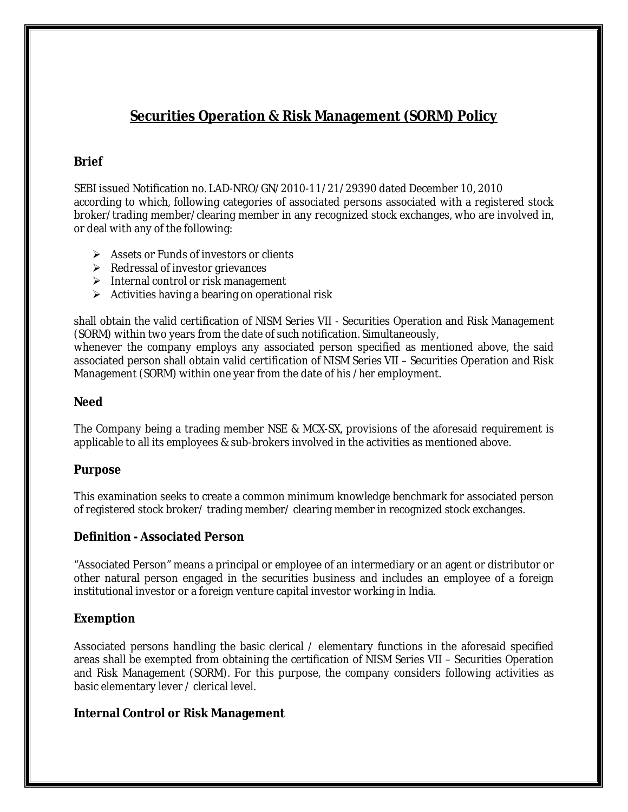# **Securities Operation & Risk Management (SORM) Policy**

## **Brief**

SEBI issued Notification no. LAD-NRO/GN/2010-11/21/29390 dated December 10, 2010 according to which, following categories of associated persons associated with a registered stock broker/trading member/clearing member in any recognized stock exchanges, who are involved in, or deal with any of the following:

- $\triangleright$  Assets or Funds of investors or clients
- $\triangleright$  Redressal of investor grievances
- $\triangleright$  Internal control or risk management
- $\triangleright$  Activities having a bearing on operational risk

shall obtain the valid certification of NISM Series VII - Securities Operation and Risk Management (SORM) within two years from the date of such notification. Simultaneously,

whenever the company employs any associated person specified as mentioned above, the said associated person shall obtain valid certification of NISM Series VII – Securities Operation and Risk Management (SORM) within one year from the date of his /her employment.

#### **Need**

The Company being a trading member NSE & MCX-SX, provisions of the aforesaid requirement is applicable to all its employees & sub-brokers involved in the activities as mentioned above.

### **Purpose**

This examination seeks to create a common minimum knowledge benchmark for associated person of registered stock broker/ trading member/ clearing member in recognized stock exchanges.

### **Definition - Associated Person**

"Associated Person" means a principal or employee of an intermediary or an agent or distributor or other natural person engaged in the securities business and includes an employee of a foreign institutional investor or a foreign venture capital investor working in India.

### **Exemption**

Associated persons handling the basic clerical / elementary functions in the aforesaid specified areas shall be exempted from obtaining the certification of NISM Series VII – Securities Operation and Risk Management (SORM). For this purpose, the company considers following activities as basic elementary lever / clerical level.

### **Internal Control or Risk Management**